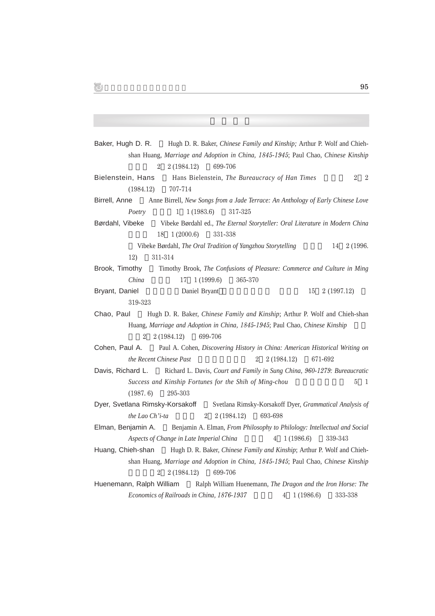| Hugh D. R. Baker, Chinese Family and Kinship; Arthur P. Wolf and Chieh-<br>Baker, Hugh D. R.            |
|---------------------------------------------------------------------------------------------------------|
| shan Huang, Marriage and Adoption in China, 1845-1945; Paul Chao, Chinese Kinship                       |
| 2 (1984.12)<br>699-706<br>$\overline{2}$                                                                |
| Bielenstein, Hans<br>Hans Bielenstein, The Bureaucracy of Han Times<br>$\overline{2}$<br>$\overline{2}$ |
| (1984.12)<br>707-714                                                                                    |
| Birrell, Anne<br>Anne Birrell, New Songs from a Jade Terrace: An Anthology of Early Chinese Love        |
| Poetry<br>1<br>1(1983.6)<br>317-325                                                                     |
| Børdahl, Vibeke<br>Vibeke Børdahl ed., The Eternal Storyteller: Oral Literature in Modern China         |
| 1(2000.6)<br>331-338<br>18                                                                              |
| Vibeke Børdahl, The Oral Tradition of Yangzhou Storytelling<br>2 (1996.<br>14                           |
| 311-314<br>12)                                                                                          |
| Timothy Brook, The Confusions of Pleasure: Commerce and Culture in Ming<br>Brook, Timothy               |
| China<br>365-370<br>17<br>1(1999.6)                                                                     |
| Bryant, Daniel<br>Daniel Bryant<br>2(1997.12)<br>15                                                     |
| 319-323                                                                                                 |
| Hugh D. R. Baker, Chinese Family and Kinship; Arthur P. Wolf and Chieh-shan<br>Chao, Paul               |
| Huang, Marriage and Adoption in China, 1845-1945; Paul Chao, Chinese Kinship                            |
| 699-706<br>$\overline{2}$<br>2 (1984.12)                                                                |
| Cohen, Paul A.<br>Paul A. Cohen, Discovering History in China: American Historical Writing on           |
| the Recent Chinese Past<br>2(1984.12)<br>671-692<br>$\overline{2}$                                      |
| Richard L. Davis, Court and Family in Sung China, 960-1279: Bureaucratic<br>Davis, Richard L.           |
| Success and Kinship Fortunes for the Shih of Ming-chou<br>5<br>1                                        |
| (1987, 6)<br>295-303                                                                                    |
| Dyer, Svetlana Rimsky-Korsakoff<br>Svetlana Rimsky-Korsakoff Dyer, Grammatical Analysis of              |
| the Lao Ch'i-ta<br>$\overline{2}$<br>2 (1984.12)<br>693-698                                             |
| Elman, Benjamin A.<br>Benjamin A. Elman, From Philosophy to Philology: Intellectual and Social          |
| Aspects of Change in Late Imperial China<br>1(1986.6)<br>339-343<br>4                                   |
| Hugh D. R. Baker, Chinese Family and Kinship; Arthur P. Wolf and Chieh-<br>Huang, Chieh-shan            |
| shan Huang, Marriage and Adoption in China, 1845-1945; Paul Chao, Chinese Kinship                       |
| 699-706<br>2<br>2 (1984.12)                                                                             |
| Huenemann, Ralph William<br>Ralph William Huenemann, The Dragon and the Iron Horse: The                 |
| Economics of Railroads in China, 1876-1937<br>1(1986.6)<br>333-338<br>4                                 |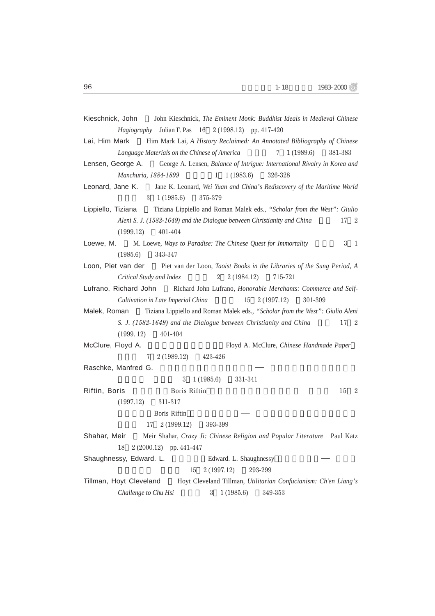| Kieschnick, John John Kieschnick, The Eminent Monk: Buddhist Ideals in Medieval Chinese<br><i>Hagiography</i> Julian F. Pas 16 2 (1998.12) pp. 417-420 |
|--------------------------------------------------------------------------------------------------------------------------------------------------------|
| Him Mark Lai, A History Reclaimed: An Annotated Bibliography of Chinese<br>Lai, Him Mark                                                               |
| 1(1989.6)<br>Language Materials on the Chinese of America<br>381-383                                                                                   |
| George A. Lensen, Balance of Intrigue: International Rivalry in Korea and<br>Lensen, George A.                                                         |
| 326-328<br>Manchuria, 1884-1899<br>1<br>1(1983.6)                                                                                                      |
| Jane K. Leonard, Wei Yuan and China's Rediscovery of the Maritime World<br>Leonard, Jane K.                                                            |
| $3 \quad 1(1985.6)$<br>375-379                                                                                                                         |
| Tiziana Lippiello and Roman Malek eds., "Scholar from the West": Giulio<br>Lippiello, Tiziana                                                          |
| Aleni S. J. (1582-1649) and the Dialogue between Christianity and China<br>17<br>$\mathbf{2}$                                                          |
| 401-404<br>(1999.12)                                                                                                                                   |
| 3<br>Loewe, M. M. Loewe, Ways to Paradise: The Chinese Quest for Immortality<br><sup>1</sup>                                                           |
| (1985.6)<br>343-347                                                                                                                                    |
| Loon, Piet van der Piet van der Loon, Taoist Books in the Libraries of the Sung Period, A                                                              |
| Critical Study and Index<br>$2\quad 2(1984.12)$<br>715-721                                                                                             |
| Lufrano, Richard John Richard John Lufrano, Honorable Merchants: Commerce and Self-                                                                    |
| Cultivation in Late Imperial China<br>15<br>2 (1997.12)<br>301-309                                                                                     |
|                                                                                                                                                        |
| Tiziana Lippiello and Roman Malek eds., "Scholar from the West": Giulio Aleni<br>Malek, Roman                                                          |
| S. J. (1582-1649) and the Dialogue between Christianity and China<br>17 2                                                                              |
| (1999.12)<br>401-404                                                                                                                                   |
| McClure, Floyd A.<br>Floyd A. McClure, Chinese Handmade Paper                                                                                          |
| 2 (1989.12) 423-426<br>7                                                                                                                               |
| Raschke, Manfred G.                                                                                                                                    |
| 3<br>1(1985.6)<br>331-341                                                                                                                              |
| Riftin, Boris<br><b>Boris Riftin</b><br>15<br>- 2                                                                                                      |
| (1997.12)<br>311-317                                                                                                                                   |
| Boris Riftin                                                                                                                                           |
| 2 (1999.12)<br>393-399<br>17                                                                                                                           |
| Meir Shahar, Crazy Ji: Chinese Religion and Popular Literature Paul Katz<br>Shahar, Meir                                                               |
| 2 (2000.12) pp. 441-447<br>18                                                                                                                          |
| Shaughnessy, Edward. L.<br>Edward. L. Shaughnessy                                                                                                      |
| 2 (1997.12)<br>293-299<br>15                                                                                                                           |
| Tillman, Hoyt Cleveland<br>Hoyt Cleveland Tillman, Utilitarian Confucianism: Ch'en Liang's                                                             |